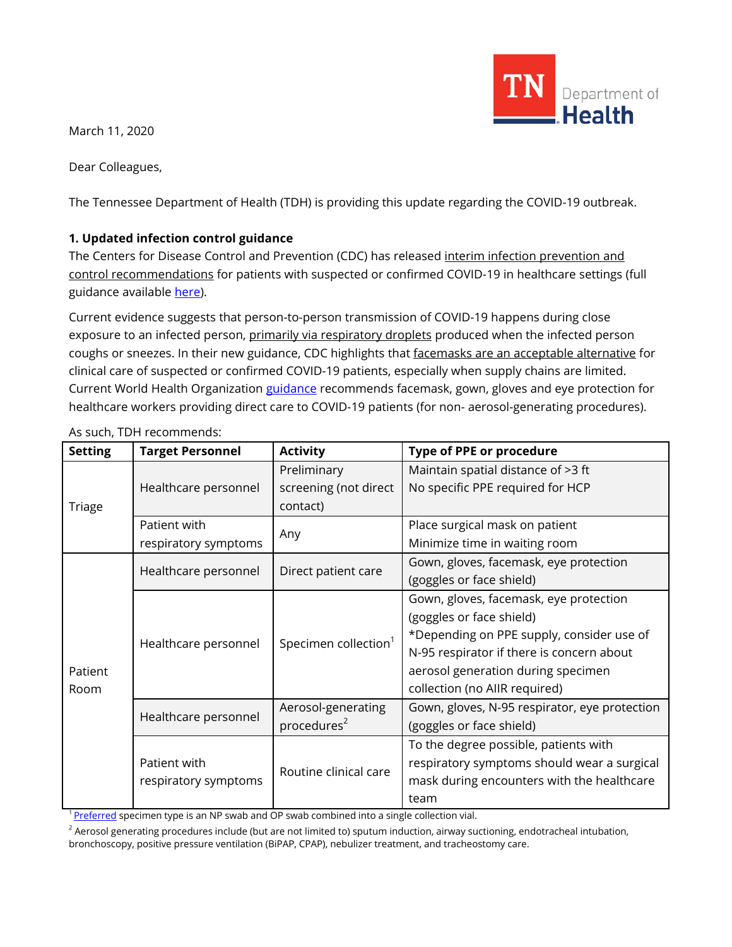TN Department of **Health** 

March 11, 2020

Dear Colleagues,

The Tennessee Department of Health (TDH) is providing this update regarding the COVID-19 outbreak.

## **1. Updated infection control guidance**

The Centers for Disease Control and Prevention (CDC) has released interim infection prevention and control recommendations for patients with suspected or confirmed COVID-19 in healthcare settings (full guidance available [here\)](https://www.cdc.gov/coronavirus/2019-ncov/infection-control/control-recommendations.html).

Current evidence suggests that person-to-person transmission of COVID-19 happens during close exposure to an infected person, primarily via respiratory droplets produced when the infected person coughs or sneezes. In their new guidance, CDC highlights that facemasks are an acceptable alternative for clinical care of suspected or confirmed COVID-19 patients, especially when supply chains are limited. Current World Health Organizatio[n guidance](https://apps.who.int/iris/bitstream/handle/10665/331215/WHO-2019-nCov-IPCPPE_use-2020.1-eng.pdf) recommends facemask, gown, gloves and eye protection for healthcare workers providing direct care to COVID-19 patients (for non- aerosol-generating procedures).

| <b>Setting</b>  | <b>Target Personnel</b>              | <b>Activity</b>                  | <b>Type of PPE or procedure</b>               |
|-----------------|--------------------------------------|----------------------------------|-----------------------------------------------|
| <b>Triage</b>   | Healthcare personnel                 | Preliminary                      | Maintain spatial distance of >3 ft            |
|                 |                                      | screening (not direct            | No specific PPE required for HCP              |
|                 |                                      | contact)                         |                                               |
|                 | Patient with                         | Any                              | Place surgical mask on patient                |
|                 | respiratory symptoms                 |                                  | Minimize time in waiting room                 |
| Patient<br>Room | Healthcare personnel                 | Direct patient care              | Gown, gloves, facemask, eye protection        |
|                 |                                      |                                  | (goggles or face shield)                      |
|                 | Healthcare personnel                 | Specimen collection <sup>1</sup> | Gown, gloves, facemask, eye protection        |
|                 |                                      |                                  | (goggles or face shield)                      |
|                 |                                      |                                  | *Depending on PPE supply, consider use of     |
|                 |                                      |                                  | N-95 respirator if there is concern about     |
|                 |                                      |                                  | aerosol generation during specimen            |
|                 |                                      |                                  | collection (no AllR required)                 |
|                 | Healthcare personnel                 | Aerosol-generating               | Gown, gloves, N-95 respirator, eye protection |
|                 |                                      | procedures <sup>2</sup>          | (goggles or face shield)                      |
|                 | Patient with<br>respiratory symptoms | Routine clinical care            | To the degree possible, patients with         |
|                 |                                      |                                  | respiratory symptoms should wear a surgical   |
|                 |                                      |                                  | mask during encounters with the healthcare    |
|                 |                                      |                                  | team                                          |

As such, TDH recommends:

<sup>1</sup> [Preferred](https://www.cdc.gov/coronavirus/2019-nCoV/lab/guidelines-clinical-specimens.html) specimen type is an NP swab and OP swab combined into a single collection vial.

 $2$  Aerosol generating procedures include (but are not limited to) sputum induction, airway suctioning, endotracheal intubation,

bronchoscopy, positive pressure ventilation (BiPAP, CPAP), nebulizer treatment, and tracheostomy care.